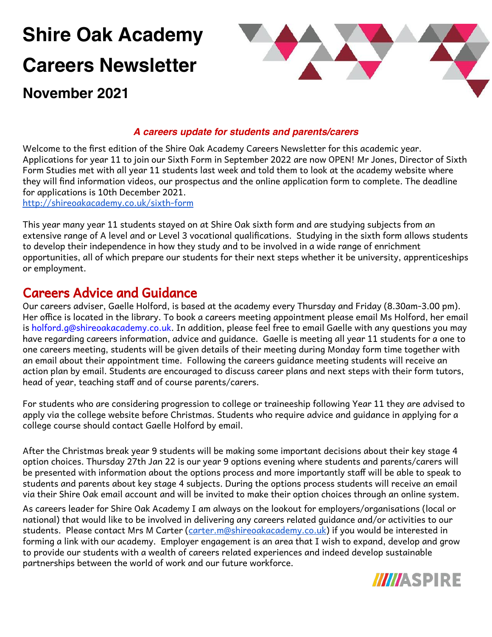# **Shire Oak Academy Careers Newsletter**



# **November 2021**

#### **A careers update for students and parents/carers**

Welcome to the first edition of the Shire Oak Academy Careers Newsletter for this academic year. Applications for year 11 to join our Sixth Form in September 2022 are now OPEN! Mr Jones, Director of Sixth Form Studies met with all year 11 students last week and told them to look at the academy website where they will find information videos, our prospectus and the online application form to complete. The deadline for applications is 10th December 2021.

<http://shireoakacademy.co.uk/sixth-form>

This year many year 11 students stayed on at Shire Oak sixth form and are studying subjects from an extensive range of A level and or Level 3 vocational qualifications. Studying in the sixth form allows students to develop their independence in how they study and to be involved in a wide range of enrichment opportunities, all of which prepare our students for their next steps whether it be university, apprenticeships or employment.

# Careers Advice and Guidance

Our careers adviser, Gaelle Holford, is based at the academy every Thursday and Friday (8.30am-3.00 pm). Her office is located in the library. To book a careers meeting appointment please email Ms Holford, her email is holford.g@shireoakacademy.co.uk. In addition, please feel free to email Gaelle with any questions you may have regarding careers information, advice and guidance. Gaelle is meeting all year 11 students for a one to one careers meeting, students will be given details of their meeting during Monday form time together with an email about their appointment time. Following the careers guidance meeting students will receive an action plan by email. Students are encouraged to discuss career plans and next steps with their form tutors, head of year, teaching staff and of course parents/carers.

For students who are considering progression to college or traineeship following Year 11 they are advised to apply via the college website before Christmas. Students who require advice and guidance in applying for a college course should contact Gaelle Holford by email.

After the Christmas break year 9 students will be making some important decisions about their key stage 4 option choices. Thursday 27th Jan 22 is our year 9 options evening where students and parents/carers will be presented with information about the options process and more importantly staff will be able to speak to students and parents about key stage 4 subjects. During the options process students will receive an email via their Shire Oak email account and will be invited to make their option choices through an online system.

As careers leader for Shire Oak Academy I am always on the lookout for employers/organisations (local or national) that would like to be involved in delivering any careers related guidance and/or activities to our students. Please contact Mrs M Carter ([carter.m@shireoakacademy.co.uk](mailto:st-carter@shireoakacademy.co.uk)) if you would be interested in forming a link with our academy. Employer engagement is an area that I wish to expand, develop and grow to provide our students with a wealth of careers related experiences and indeed develop sustainable partnerships between the world of work and our future workforce.

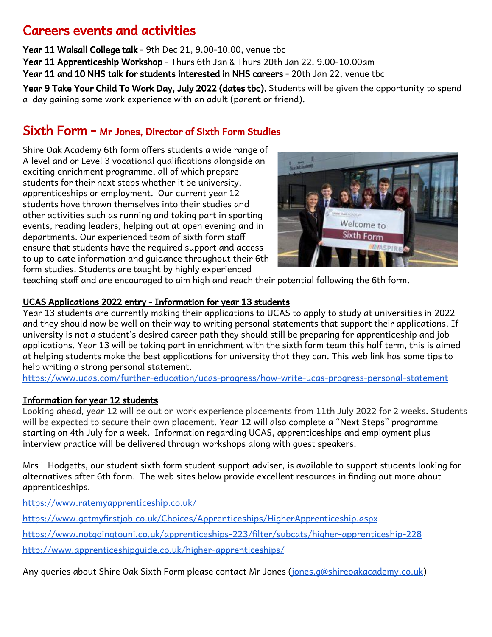# Careers events and activities

Year 11 Walsall College talk - 9th Dec 21, 9.00-10.00, venue tbc

Year 11 Apprenticeship Workshop - Thurs 6th Jan & Thurs 20th Jan 22, 9.00-10.00am

Year 11 and 10 NHS talk for students interested in NHS careers - 20th Jan 22, venue tbc

Year 9 Take Your Child To Work Day, July 2022 (dates tbc). Students will be given the opportunity to spend a day gaining some work experience with an adult (parent or friend).

### Sixth Form - Mr Jones, Director of Sixth Form Studies

Shire Oak Academy 6th form offers students a wide range of A level and or Level 3 vocational qualifications alongside an exciting enrichment programme, all of which prepare students for their next steps whether it be university, apprenticeships or employment. Our current year 12 students have thrown themselves into their studies and other activities such as running and taking part in sporting events, reading leaders, helping out at open evening and in departments. Our experienced team of sixth form staff ensure that students have the required support and access to up to date information and guidance throughout their 6th form studies. Students are taught by highly experienced



teaching staff and are encouraged to aim high and reach their potential following the 6th form.

#### UCAS Applications 2022 entry - Information for year 13 students

Year 13 students are currently making their applications to UCAS to apply to study at universities in 2022 and they should now be well on their way to writing personal statements that support their applications. If university is not a student's desired career path they should still be preparing for apprenticeship and job applications. Year 13 will be taking part in enrichment with the sixth form team this half term, this is aimed at helping students make the best applications for university that they can. This web link has some tips to help writing a strong personal statement.

<https://www.ucas.com/further-education/ucas-progress/how-write-ucas-progress-personal-statement>

#### Information for year 12 students

Looking ahead, year 12 will be out on work experience placements from 11th July 2022 for 2 weeks. Students will be expected to secure their own placement. Year 12 will also complete a "Next Steps" programme starting on 4th July for a week. Information regarding UCAS, apprenticeships and employment plus interview practice will be delivered through workshops along with guest speakers.

Mrs L Hodgetts, our student sixth form student support adviser, is available to support students looking for alternatives after 6th form. The web sites below provide excellent resources in finding out more about apprenticeships.

<https://www.ratemyapprenticeship.co.uk/>

<https://www.getmyfirstjob.co.uk/Choices/Apprenticeships/HigherApprenticeship.aspx>

<https://www.notgoingtouni.co.uk/apprenticeships-223/filter/subcats/higher-apprenticeship-228>

<http://www.apprenticeshipguide.co.uk/higher-apprenticeships/>

Any queries about Shire Oak Sixth Form please contact Mr Jones [\(jones.g@shireoakacademy.co.uk\)](mailto:jones.g@shireoakacademy.co.uk)